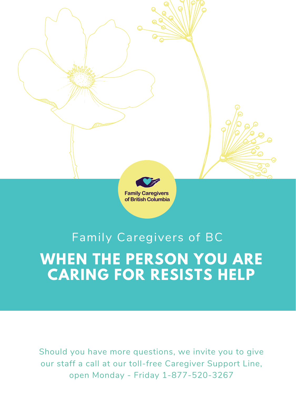

## **WHEN THE PERSON YOU ARE CARING FOR RESISTS HELP** Family Caregivers of BC

Should you have more questions, we invite you to give our staff a call at our toll-free Caregiver Support Line, open Monday - Friday 1-877-520-3267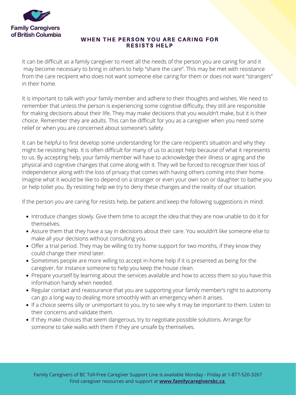

**Family Caregivers** of British Columbia

## WHEN THE PERSON YOU ARE CARING FOR RESISTS HELP

- Introduce changes slowly. Give them time to accept the idea that they are now unable to do it for themselves.
- Assure them that they have a say in decisions about their care. You wouldn't like someone else to make all your decisions without consulting you.
- Offer a trial period. They may be willing to try home support for two months, if they know they could change their mind later.
- Sometimes people are more willing to accept in-home help if it is presented as being for the caregiver, for instance someone to help you keep the house clean.
- Prepare yourself by learning about the services available and how to access them so you have this information handy when needed.
- Regular contact and reassurance that you are supporting your family member's right to autonomy can go a long way to dealing more smoothly with an emergency when it arises.
- If a choice seems silly or unimportant to you, try to see why it may be important to them. Listen to their concerns and validate them.
- If they make choices that seem dangerous, try to negotiate possible solutions. Arrange for someone to take walks with them if they are unsafe by themselves.

It can be difficult as a family caregiver to meet all the needs of the person you are caring for and it may become necessary to bring in others to help "share the care". This may be met with resistance from the care recipient who does not want someone else caring for them or does not want "strangers" in their home.

It is important to talk with your family member and adhere to their thoughts and wishes. We need to remember that unless the person is experiencing some cognitive difficulty, they still are responsible for making decisions about their life. They may make decisions that you wouldn't make, but it is their choice. Remember they are adults. This can be difficult for you as a caregiver when you need some relief or when you are concerned about someone's safety.

It can be helpful to first develop some understanding for the care recipient's situation and why they might be resisting help. It is often difficult for many of us to accept help because of what it represents to us. By accepting help, your family member will have to acknowledge their illness or aging and the physical and cognitive changes that come along with it. They will be forced to recognize their loss of independence along with the loss of privacy that comes with having others coming into their home. Imagine what it would be like to depend on a stranger or even your own son or daughter to bathe you or help toilet you. By resisting help we try to deny these changes and the reality of our situation.

If the person you are caring for resists help, be patient and keep the following suggestions in mind: